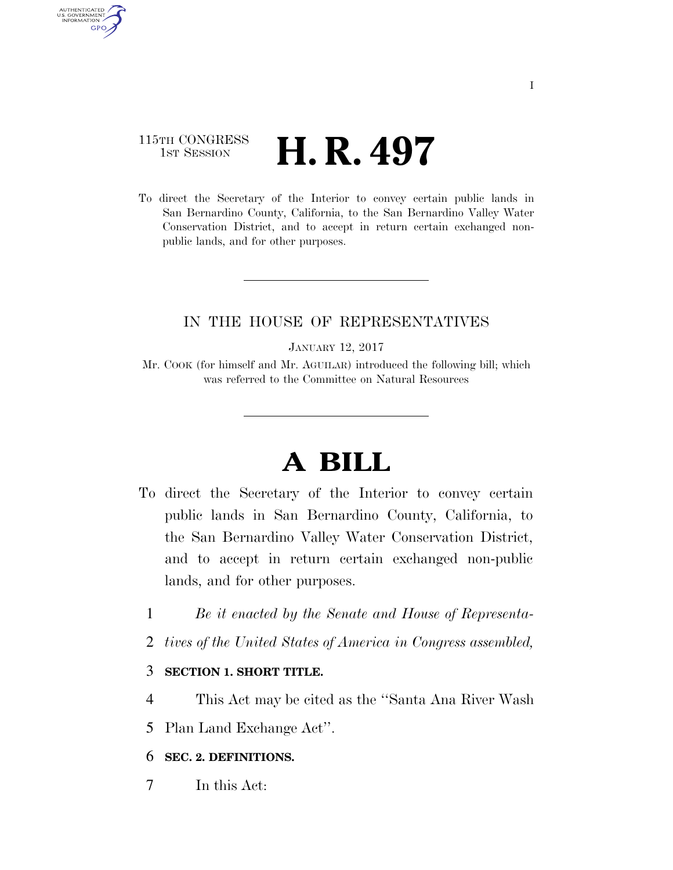# 115TH CONGRESS  $\frac{1}{1}$ ST SESSION **H. R. 497**

AUTHENTICATED U.S. GOVERNMENT **GPO** 

> To direct the Secretary of the Interior to convey certain public lands in San Bernardino County, California, to the San Bernardino Valley Water Conservation District, and to accept in return certain exchanged nonpublic lands, and for other purposes.

### IN THE HOUSE OF REPRESENTATIVES

JANUARY 12, 2017

Mr. COOK (for himself and Mr. AGUILAR) introduced the following bill; which was referred to the Committee on Natural Resources

# **A BILL**

- To direct the Secretary of the Interior to convey certain public lands in San Bernardino County, California, to the San Bernardino Valley Water Conservation District, and to accept in return certain exchanged non-public lands, and for other purposes.
	- 1 *Be it enacted by the Senate and House of Representa-*
	- 2 *tives of the United States of America in Congress assembled,*

#### 3 **SECTION 1. SHORT TITLE.**

- 4 This Act may be cited as the ''Santa Ana River Wash
- 5 Plan Land Exchange Act''.

#### 6 **SEC. 2. DEFINITIONS.**

7 In this Act: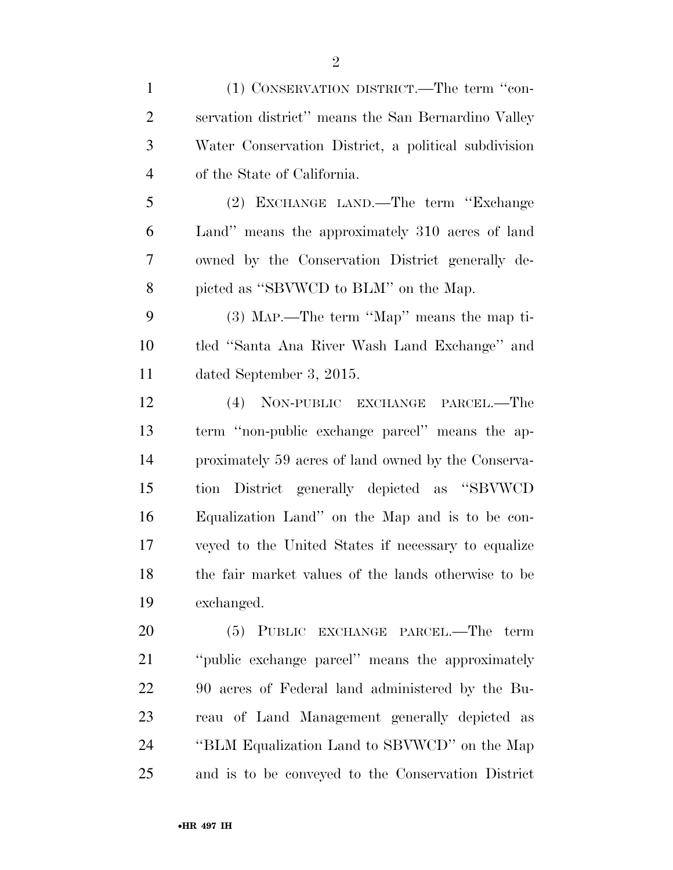| $\mathbf{1}$   | (1) CONSERVATION DISTRICT.—The term "con-            |
|----------------|------------------------------------------------------|
| $\overline{2}$ | servation district" means the San Bernardino Valley  |
| 3              | Water Conservation District, a political subdivision |
| $\overline{4}$ | of the State of California.                          |
| 5              | (2) EXCHANGE LAND.—The term "Exchange"               |
| 6              | Land" means the approximately 310 acres of land      |
| 7              | owned by the Conservation District generally de-     |
| 8              | picted as "SBVWCD to BLM" on the Map.                |
| 9              | (3) MAP.—The term "Map" means the map ti-            |
| 10             | tled "Santa Ana River Wash Land Exchange" and        |
| 11             | dated September 3, 2015.                             |
| 12             | (4) NON-PUBLIC EXCHANGE PARCEL.—The                  |
| 13             | term "non-public exchange parcel" means the ap-      |
| 14             | proximately 59 acres of land owned by the Conserva-  |
| 15             | tion District generally depicted as "SBVWCD"         |
| 16             | Equalization Land" on the Map and is to be con-      |
| 17             | veyed to the United States if necessary to equalize  |
| 18             | the fair market values of the lands otherwise to be  |
| 19             | exchanged.                                           |
| 20             | (5) PUBLIC EXCHANGE PARCEL.—The term                 |
| 21             | "public exchange parcel" means the approximately     |
| 22             | 90 acres of Federal land administered by the Bu-     |
| 23             | reau of Land Management generally depicted as        |
| 24             | "BLM Equalization Land to SBVWCD" on the Map         |
| 25             | and is to be conveyed to the Conservation District   |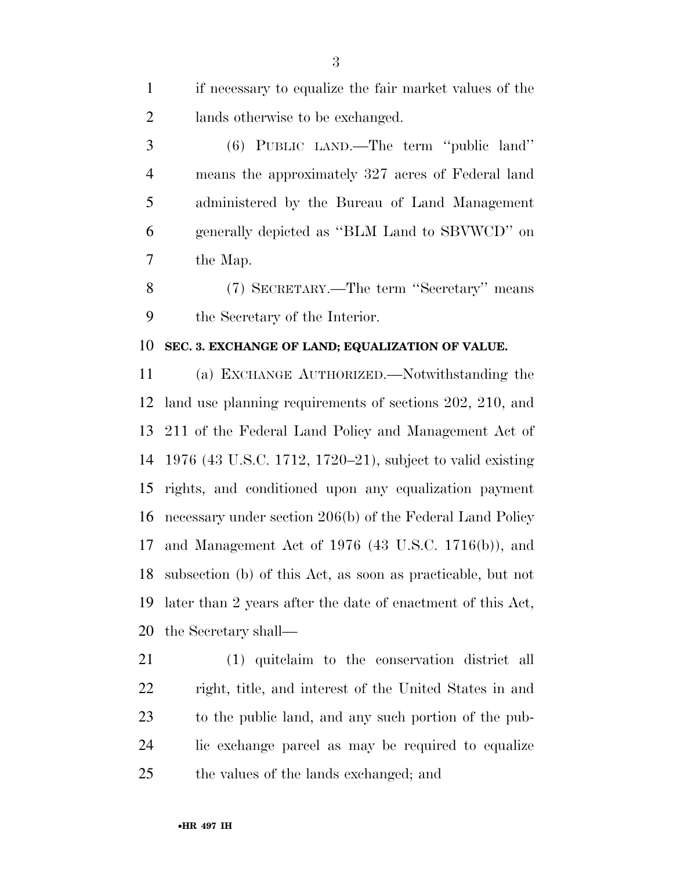if necessary to equalize the fair market values of the lands otherwise to be exchanged.

 (6) PUBLIC LAND.—The term ''public land'' means the approximately 327 acres of Federal land administered by the Bureau of Land Management generally depicted as ''BLM Land to SBVWCD'' on the Map.

 (7) SECRETARY.—The term ''Secretary'' means the Secretary of the Interior.

#### **SEC. 3. EXCHANGE OF LAND; EQUALIZATION OF VALUE.**

 (a) EXCHANGE AUTHORIZED.—Notwithstanding the land use planning requirements of sections 202, 210, and 211 of the Federal Land Policy and Management Act of 1976 (43 U.S.C. 1712, 1720–21), subject to valid existing rights, and conditioned upon any equalization payment necessary under section 206(b) of the Federal Land Policy and Management Act of 1976 (43 U.S.C. 1716(b)), and subsection (b) of this Act, as soon as practicable, but not later than 2 years after the date of enactment of this Act, the Secretary shall—

 (1) quitclaim to the conservation district all right, title, and interest of the United States in and to the public land, and any such portion of the pub- lic exchange parcel as may be required to equalize the values of the lands exchanged; and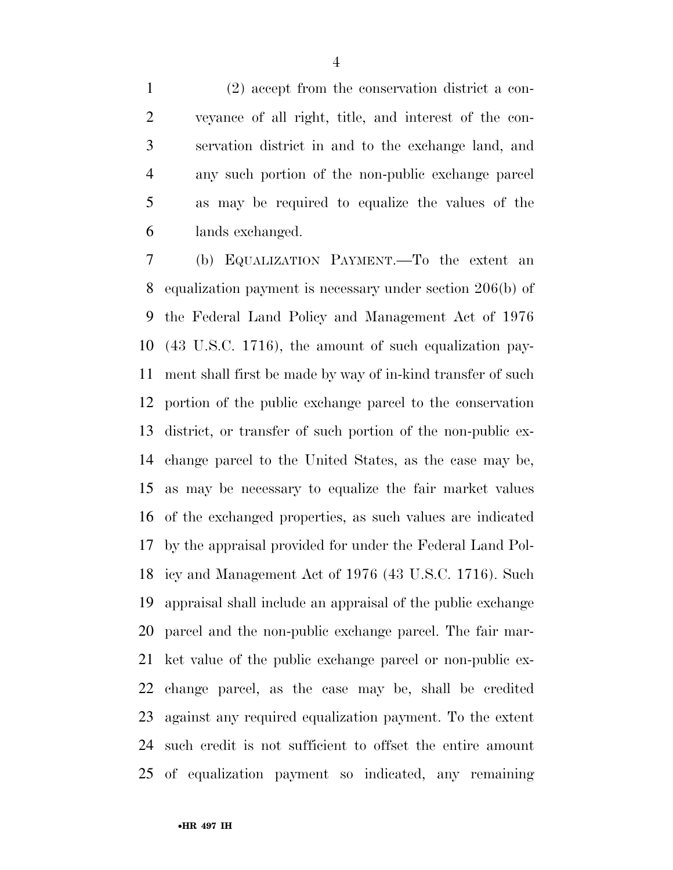(2) accept from the conservation district a con- veyance of all right, title, and interest of the con- servation district in and to the exchange land, and any such portion of the non-public exchange parcel as may be required to equalize the values of the lands exchanged.

 (b) EQUALIZATION PAYMENT.—To the extent an equalization payment is necessary under section 206(b) of the Federal Land Policy and Management Act of 1976 (43 U.S.C. 1716), the amount of such equalization pay- ment shall first be made by way of in-kind transfer of such portion of the public exchange parcel to the conservation district, or transfer of such portion of the non-public ex- change parcel to the United States, as the case may be, as may be necessary to equalize the fair market values of the exchanged properties, as such values are indicated by the appraisal provided for under the Federal Land Pol- icy and Management Act of 1976 (43 U.S.C. 1716). Such appraisal shall include an appraisal of the public exchange parcel and the non-public exchange parcel. The fair mar- ket value of the public exchange parcel or non-public ex- change parcel, as the case may be, shall be credited against any required equalization payment. To the extent such credit is not sufficient to offset the entire amount of equalization payment so indicated, any remaining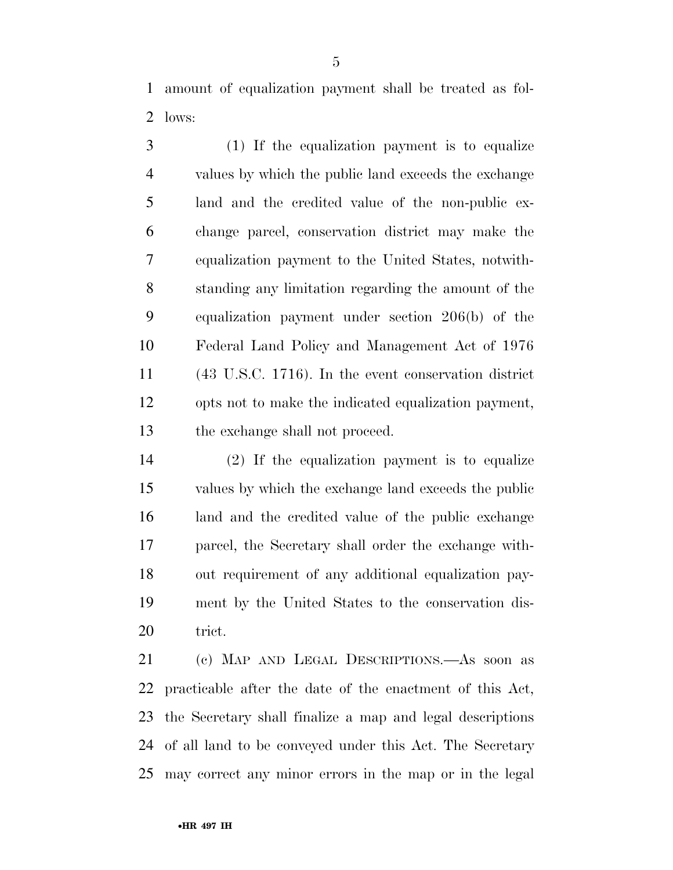amount of equalization payment shall be treated as fol-lows:

 (1) If the equalization payment is to equalize values by which the public land exceeds the exchange land and the credited value of the non-public ex- change parcel, conservation district may make the equalization payment to the United States, notwith- standing any limitation regarding the amount of the equalization payment under section 206(b) of the Federal Land Policy and Management Act of 1976 (43 U.S.C. 1716). In the event conservation district opts not to make the indicated equalization payment, the exchange shall not proceed.

 (2) If the equalization payment is to equalize values by which the exchange land exceeds the public land and the credited value of the public exchange parcel, the Secretary shall order the exchange with- out requirement of any additional equalization pay- ment by the United States to the conservation dis-20 trict.

 (c) MAP AND LEGAL DESCRIPTIONS.—As soon as practicable after the date of the enactment of this Act, the Secretary shall finalize a map and legal descriptions of all land to be conveyed under this Act. The Secretary may correct any minor errors in the map or in the legal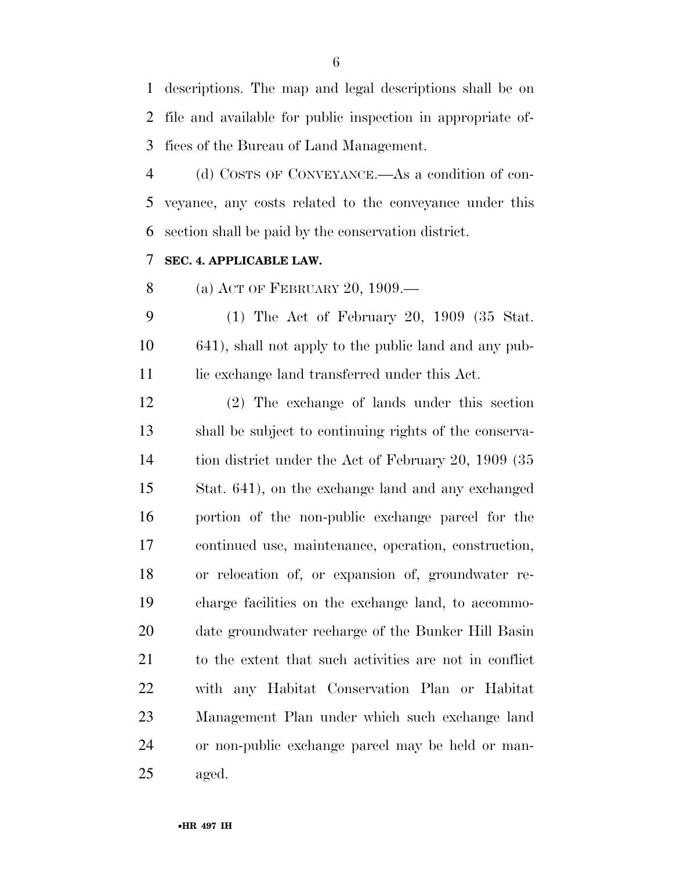descriptions. The map and legal descriptions shall be on file and available for public inspection in appropriate of-fices of the Bureau of Land Management.

 (d) COSTS OF CONVEYANCE.—As a condition of con- veyance, any costs related to the conveyance under this section shall be paid by the conservation district.

#### **SEC. 4. APPLICABLE LAW.**

(a) ACT OF FEBRUARY 20, 1909.—

 (1) The Act of February 20, 1909 (35 Stat. 641), shall not apply to the public land and any pub-11 lic exchange land transferred under this Act.

 (2) The exchange of lands under this section shall be subject to continuing rights of the conserva-14 tion district under the Act of February 20, 1909 (35 Stat. 641), on the exchange land and any exchanged portion of the non-public exchange parcel for the continued use, maintenance, operation, construction, or relocation of, or expansion of, groundwater re- charge facilities on the exchange land, to accommo- date groundwater recharge of the Bunker Hill Basin to the extent that such activities are not in conflict with any Habitat Conservation Plan or Habitat Management Plan under which such exchange land or non-public exchange parcel may be held or man-aged.

•**HR 497 IH**